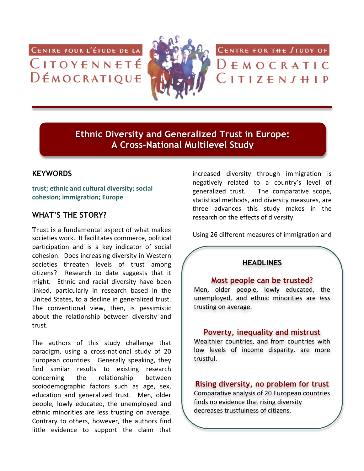CENTRE POUR L'ÉTUDE DE LA CITOYENNETÉ DÉMOCRATIQUE



CENTRE FOR THE STUDY OF

 $D \in M$  O C R A T I C  $C$ ITIZEN $J$ HIP

**Ethnic Diversity and Generalized Trust in Europe: A Cross-National Multilevel Study**

# **KEYWORDS**

trust; ethnic and cultural diversity; social cohesion; immigration; Europe

# **WHAT'S THE STORY?**

Trust is a fundamental aspect of what makes societies work. It facilitates commerce, political participation and is a key indicator of social cohesion. Does increasing diversity in Western societies threaten levels of trust among citizens? Research to date suggests that it might. Ethnic and racial diversity have been linked, particularly in research based in the United States, to a decline in generalized trust. The conventional view, then, is pessimistic about the relationship between diversity and trust.

The authors of this study challenge that paradigm, using a cross-national study of 20 European countries. Generally speaking, they find similar results to existing research concerning the relationship between scoiodemographic factors such as age, sex, education and generalized trust. Men, older people, lowly educated, the unemployed and ethnic minorities are less trusting on average. Contrary to others, however, the authors find little evidence to support the claim that

increased diversity through immigration is negatively related to a country's level of generalized trust. The comparative scope, statistical methods, and diversity measures, are three advances this study makes in the research on the effects of diversity.

Using 26 different measures of immigration and

# **HEADLINES**

### **Most people can be trusted?**

Men, older people, lowly educated, the unemployed,' and' ethnic' minorities' are' *less* trusting on average.

## **Poverty, inequality and mistrust**

Wealthier countries, and from countries with low levels of income disparity, are more trustful.

# **Rising diversity, no problem for trust**

Comparative analysis of 20 European countries finds no evidence that rising diversity decreases trustfulness of citizens.